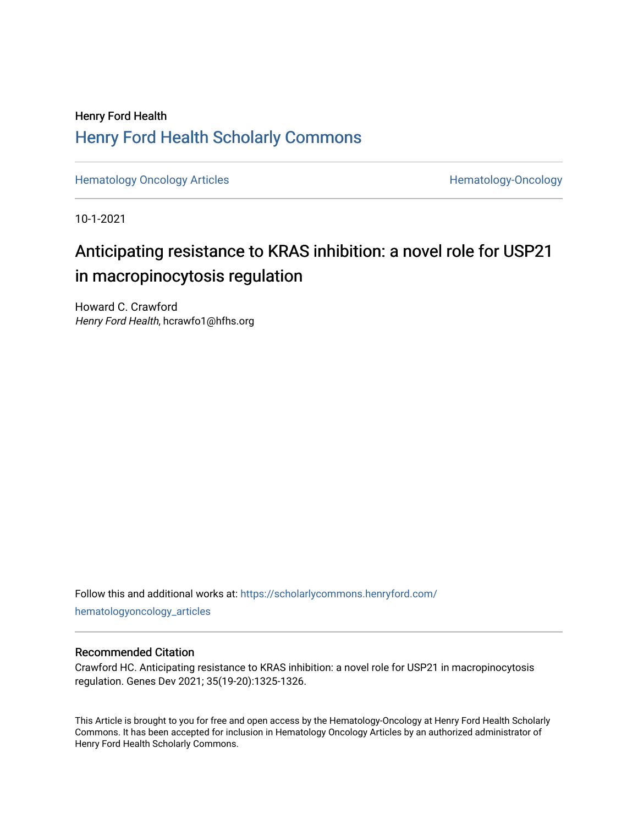## Henry Ford Health [Henry Ford Health Scholarly Commons](https://scholarlycommons.henryford.com/)

[Hematology Oncology Articles](https://scholarlycommons.henryford.com/hematologyoncology_articles) **Hematology-Oncology** 

10-1-2021

## Anticipating resistance to KRAS inhibition: a novel role for USP21 in macropinocytosis regulation

Howard C. Crawford Henry Ford Health, hcrawfo1@hfhs.org

Follow this and additional works at: [https://scholarlycommons.henryford.com/](https://scholarlycommons.henryford.com/hematologyoncology_articles?utm_source=scholarlycommons.henryford.com%2Fhematologyoncology_articles%2F211&utm_medium=PDF&utm_campaign=PDFCoverPages) [hematologyoncology\\_articles](https://scholarlycommons.henryford.com/hematologyoncology_articles?utm_source=scholarlycommons.henryford.com%2Fhematologyoncology_articles%2F211&utm_medium=PDF&utm_campaign=PDFCoverPages)

#### Recommended Citation

Crawford HC. Anticipating resistance to KRAS inhibition: a novel role for USP21 in macropinocytosis regulation. Genes Dev 2021; 35(19-20):1325-1326.

This Article is brought to you for free and open access by the Hematology-Oncology at Henry Ford Health Scholarly Commons. It has been accepted for inclusion in Hematology Oncology Articles by an authorized administrator of Henry Ford Health Scholarly Commons.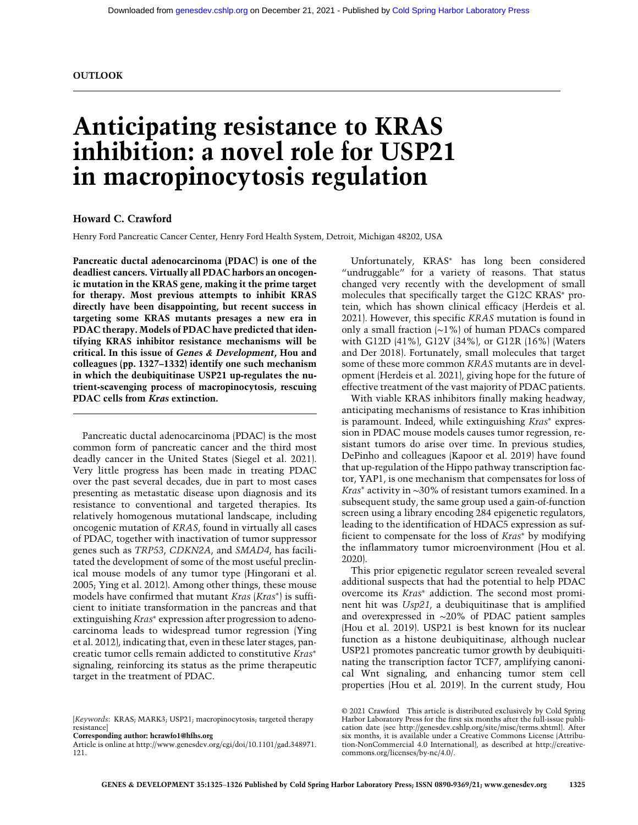# Anticipating resistance to KRAS inhibition: a novel role for USP21 in macropinocytosis regulation

#### Howard C. Crawford

Henry Ford Pancreatic Cancer Center, Henry Ford Health System, Detroit, Michigan 48202, USA

Pancreatic ductal adenocarcinoma (PDAC) is one of the deadliest cancers. Virtually all PDAC harbors an oncogenic mutation in the KRAS gene, making it the prime target for therapy. Most previous attempts to inhibit KRAS directly have been disappointing, but recent success in targeting some KRAS mutants presages a new era in PDAC therapy. Models of PDAC have predicted that identifying KRAS inhibitor resistance mechanisms will be critical. In this issue of Genes & Development, Hou and colleagues (pp. 1327–1332) identify one such mechanism in which the deubiquitinase USP21 up-regulates the nutrient-scavenging process of macropinocytosis, rescuing PDAC cells from Kras extinction.

Pancreatic ductal adenocarcinoma (PDAC) is the most common form of pancreatic cancer and the third most deadly cancer in the United States (Siegel et al. 2021). Very little progress has been made in treating PDAC over the past several decades, due in part to most cases presenting as metastatic disease upon diagnosis and its resistance to conventional and targeted therapies. Its relatively homogenous mutational landscape, including oncogenic mutation of KRAS, found in virtually all cases of PDAC, together with inactivation of tumor suppressor genes such as TRP53, CDKN2A, and SMAD4, has facilitated the development of some of the most useful preclinical mouse models of any tumor type (Hingorani et al. 2005; Ying et al. 2012). Among other things, these mouse models have confirmed that mutant Kras (Kras∗) is sufficient to initiate transformation in the pancreas and that extinguishing Kras<sup>∗</sup> expression after progression to adenocarcinoma leads to widespread tumor regression (Ying et al. 2012), indicating that, even in these later stages, pancreatic tumor cells remain addicted to constitutive Kras<sup>∗</sup> signaling, reinforcing its status as the prime therapeutic target in the treatment of PDAC.

Unfortunately, KRAS<sup>∗</sup> has long been considered "undruggable" for a variety of reasons. That status changed very recently with the development of small molecules that specifically target the G12C KRAS<sup>∗</sup> protein, which has shown clinical efficacy (Herdeis et al. 2021). However, this specific KRAS mutation is found in only a small fraction (∼1%) of human PDACs compared with G12D (41%), G12V (34%), or G12R (16%) (Waters and Der 2018). Fortunately, small molecules that target some of these more common KRAS mutants are in development (Herdeis et al. 2021), giving hope for the future of effective treatment of the vast majority of PDAC patients.

With viable KRAS inhibitors finally making headway, anticipating mechanisms of resistance to Kras inhibition is paramount. Indeed, while extinguishing Kras<sup>∗</sup> expression in PDAC mouse models causes tumor regression, resistant tumors do arise over time. In previous studies, DePinho and colleagues (Kapoor et al. 2019) have found that up-regulation of the Hippo pathway transcription factor, YAP1, is one mechanism that compensates for loss of Kras<sup>∗</sup> activity in ∼30% of resistant tumors examined. In a subsequent study, the same group used a gain-of-function screen using a library encoding 284 epigenetic regulators, leading to the identification of HDAC5 expression as sufficient to compensate for the loss of Kras<sup>∗</sup> by modifying the inflammatory tumor microenvironment (Hou et al. 2020).

This prior epigenetic regulator screen revealed several additional suspects that had the potential to help PDAC overcome its Kras<sup>∗</sup> addiction. The second most prominent hit was Usp21, a deubiquitinase that is amplified and overexpressed in ∼20% of PDAC patient samples (Hou et al. 2019). USP21 is best known for its nuclear function as a histone deubiquitinase, although nuclear USP21 promotes pancreatic tumor growth by deubiquitinating the transcription factor TCF7, amplifying canonical Wnt signaling, and enhancing tumor stem cell properties (Hou et al. 2019). In the current study, Hou

<sup>[</sup>Keywords: KRAS; MARK3; USP21; macropinocytosis; targeted therapy resistance]

Corresponding author: [hcrawfo1@hfhs.org](mailto:hcrawfo1@hfhs.org)

Article is online at [http://www.genesdev.org/cgi/doi/10.1101/gad.348971.](http://www.genesdev.org/cgi/doi/10.1101/gad.348971.121) [121.](http://www.genesdev.org/cgi/doi/10.1101/gad.348971.121)

[<sup>© 2021</sup> Crawford](http://genesdev.cshlp.org/site/misc/terms.xhtml) This article is distributed exclusively by Cold Spring Harbor Laboratory Press for the first six months after the full-issue publication date (see<http://genesdev.cshlp.org/site/misc/terms.xhtml>). After six months, it is available under a Creative Commons License (Attribution-NonCommercial 4.0 International), as described at [http://creative](http://creativecommons.org/licenses/by-nc/4.0/)[commons.org/licenses/by-nc/4.0/](http://creativecommons.org/licenses/by-nc/4.0/).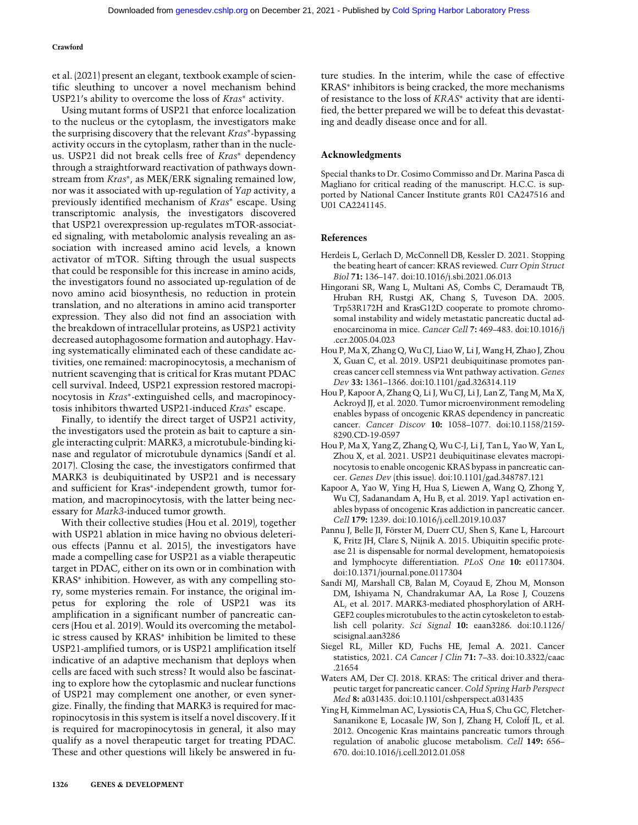#### Crawford

et al. (2021) present an elegant, textbook example of scientific sleuthing to uncover a novel mechanism behind USP21's ability to overcome the loss of Kras<sup>∗</sup> activity.

Using mutant forms of USP21 that enforce localization to the nucleus or the cytoplasm, the investigators make the surprising discovery that the relevant Kras∗-bypassing activity occurs in the cytoplasm, rather than in the nucleus. USP21 did not break cells free of Kras<sup>∗</sup> dependency through a straightforward reactivation of pathways downstream from Kras<sup>∗</sup>, as MEK/ERK signaling remained low, nor was it associated with up-regulation of Yap activity, a previously identified mechanism of Kras<sup>∗</sup> escape. Using transcriptomic analysis, the investigators discovered that USP21 overexpression up-regulates mTOR-associated signaling, with metabolomic analysis revealing an association with increased amino acid levels, a known activator of mTOR. Sifting through the usual suspects that could be responsible for this increase in amino acids, the investigators found no associated up-regulation of de novo amino acid biosynthesis, no reduction in protein translation, and no alterations in amino acid transporter expression. They also did not find an association with the breakdown of intracellular proteins, as USP21 activity decreased autophagosome formation and autophagy. Having systematically eliminated each of these candidate activities, one remained: macropinocytosis, a mechanism of nutrient scavenging that is critical for Kras mutant PDAC cell survival. Indeed, USP21 expression restored macropinocytosis in Kras∗-extinguished cells, and macropinocytosis inhibitors thwarted USP21-induced Kras<sup>∗</sup> escape.

Finally, to identify the direct target of USP21 activity, the investigators used the protein as bait to capture a single interacting culprit: MARK3, a microtubule-binding kinase and regulator of microtubule dynamics (Sandí et al. 2017). Closing the case, the investigators confirmed that MARK3 is deubiquitinated by USP21 and is necessary and sufficient for Kras∗-independent growth, tumor formation, and macropinocytosis, with the latter being necessary for Mark3-induced tumor growth.

With their collective studies (Hou et al. 2019), together with USP21 ablation in mice having no obvious deleterious effects (Pannu et al. 2015), the investigators have made a compelling case for USP21 as a viable therapeutic target in PDAC, either on its own or in combination with KRAS<sup>∗</sup> inhibition. However, as with any compelling story, some mysteries remain. For instance, the original impetus for exploring the role of USP21 was its amplification in a significant number of pancreatic cancers (Hou et al. 2019). Would its overcoming the metabolic stress caused by KRAS<sup>∗</sup> inhibition be limited to these USP21-amplified tumors, or is USP21 amplification itself indicative of an adaptive mechanism that deploys when cells are faced with such stress? It would also be fascinating to explore how the cytoplasmic and nuclear functions of USP21 may complement one another, or even synergize. Finally, the finding that MARK3 is required for macropinocytosis in this system is itself a novel discovery. If it is required for macropinocytosis in general, it also may qualify as a novel therapeutic target for treating PDAC. These and other questions will likely be answered in future studies. In the interim, while the case of effective KRAS<sup>∗</sup> inhibitors is being cracked, the more mechanisms of resistance to the loss of KRAS<sup>∗</sup> activity that are identified, the better prepared we will be to defeat this devastating and deadly disease once and for all.

#### Acknowledgments

Special thanks to Dr. Cosimo Commisso and Dr. Marina Pasca di Magliano for critical reading of the manuscript. H.C.C. is supported by National Cancer Institute grants R01 CA247516 and U01 CA2241145.

#### References

- Herdeis L, Gerlach D, McConnell DB, Kessler D. 2021. Stopping the beating heart of cancer: KRAS reviewed. Curr Opin Struct Biol 71: 136–147. doi:10.1016/j.sbi.2021.06.013
- Hingorani SR, Wang L, Multani AS, Combs C, Deramaudt TB, Hruban RH, Rustgi AK, Chang S, Tuveson DA. 2005. Trp53R172H and KrasG12D cooperate to promote chromosomal instability and widely metastatic pancreatic ductal adenocarcinoma in mice. Cancer Cell 7: 469–483. doi:10.1016/j .ccr.2005.04.023
- Hou P, Ma X, Zhang Q, Wu CJ, Liao W, Li J, Wang H, Zhao J, Zhou X, Guan C, et al. 2019. USP21 deubiquitinase promotes pancreas cancer cell stemness via Wnt pathway activation. Genes Dev 33: 1361–1366. doi:10.1101/gad.326314.119
- Hou P, Kapoor A, Zhang Q, Li J, Wu CJ, Li J, Lan Z, Tang M, Ma X, Ackroyd JJ, et al. 2020. Tumor microenvironment remodeling enables bypass of oncogenic KRAS dependency in pancreatic cancer. Cancer Discov 10: 1058–1077. doi:10.1158/2159- 8290.CD-19-0597
- Hou P, Ma X, Yang Z, Zhang Q, Wu C-J, Li J, Tan L, Yao W, Yan L, Zhou X, et al. 2021. USP21 deubiquitinase elevates macropinocytosis to enable oncogenic KRAS bypass in pancreatic cancer. Genes Dev (this issue). doi:10.1101/gad.348787.121
- Kapoor A, Yao W, Ying H, Hua S, Liewen A, Wang Q, Zhong Y, Wu CJ, Sadanandam A, Hu B, et al. 2019. Yap1 activation enables bypass of oncogenic Kras addiction in pancreatic cancer. Cell 179: 1239. doi:10.1016/j.cell.2019.10.037
- Pannu J, Belle JI, Förster M, Duerr CU, Shen S, Kane L, Harcourt K, Fritz JH, Clare S, Nijnik A. 2015. Ubiquitin specific protease 21 is dispensable for normal development, hematopoiesis and lymphocyte differentiation. PLoS One 10: e0117304. doi:10.1371/journal.pone.0117304
- Sandí MJ, Marshall CB, Balan M, Coyaud E, Zhou M, Monson DM, Ishiyama N, Chandrakumar AA, La Rose J, Couzens AL, et al. 2017. MARK3-mediated phosphorylation of ARH-GEF2 couples microtubules to the actin cytoskeleton to establish cell polarity. Sci Signal 10: eaan3286. doi:10.1126/ scisignal.aan3286
- Siegel RL, Miller KD, Fuchs HE, Jemal A. 2021. Cancer statistics, 2021. CA Cancer J Clin 71: 7–33. doi:10.3322/caac .21654
- Waters AM, Der CJ. 2018. KRAS: The critical driver and therapeutic target for pancreatic cancer. Cold Spring Harb Perspect Med 8: a031435. doi:10.1101/cshperspect.a031435
- Ying H, Kimmelman AC, Lyssiotis CA, Hua S, Chu GC, Fletcher-Sananikone E, Locasale JW, Son J, Zhang H, Coloff JL, et al. 2012. Oncogenic Kras maintains pancreatic tumors through regulation of anabolic glucose metabolism. Cell 149: 656– 670. doi:10.1016/j.cell.2012.01.058